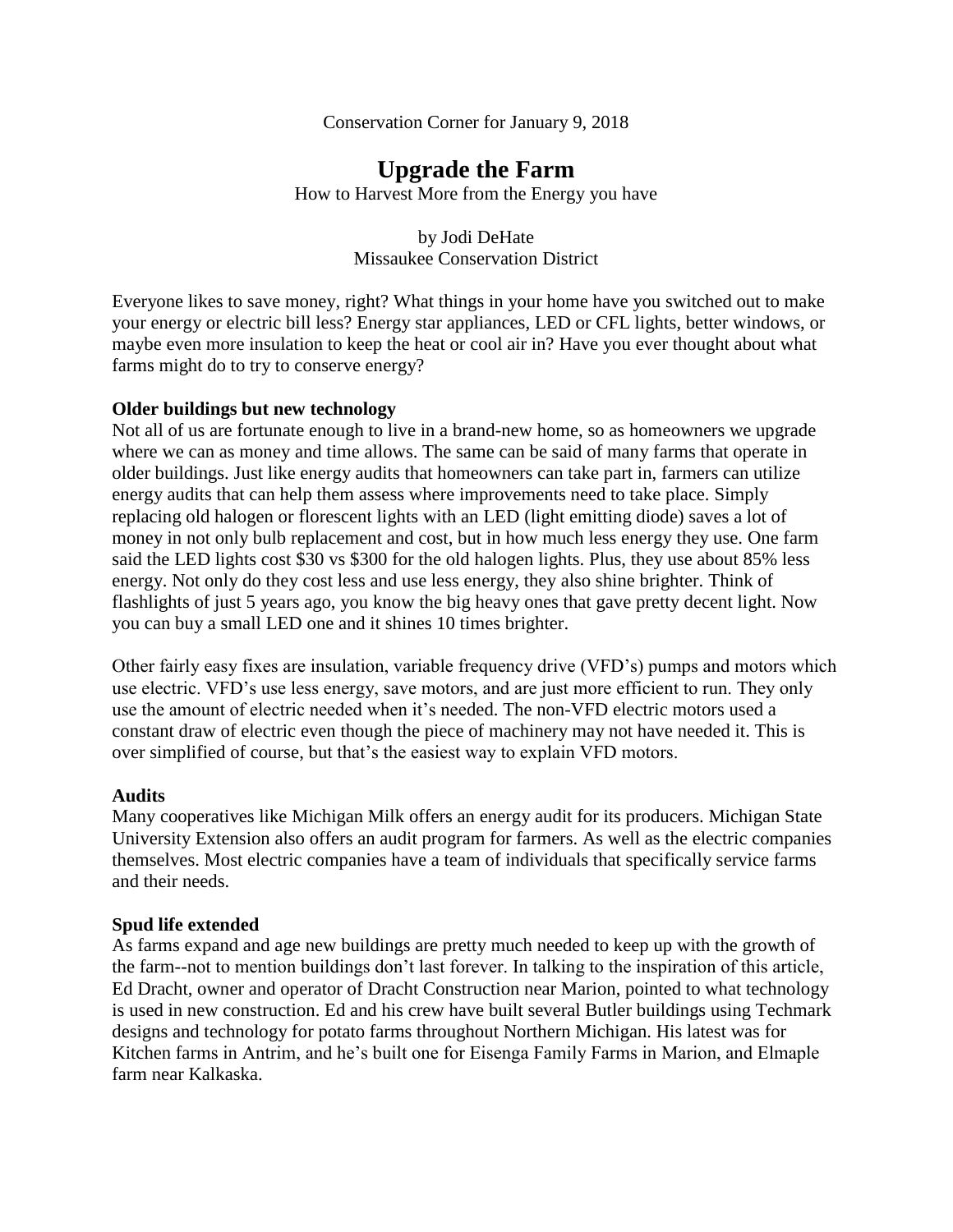Conservation Corner for January 9, 2018

# **Upgrade the Farm**

How to Harvest More from the Energy you have

by Jodi DeHate Missaukee Conservation District

Everyone likes to save money, right? What things in your home have you switched out to make your energy or electric bill less? Energy star appliances, LED or CFL lights, better windows, or maybe even more insulation to keep the heat or cool air in? Have you ever thought about what farms might do to try to conserve energy?

#### **Older buildings but new technology**

Not all of us are fortunate enough to live in a brand-new home, so as homeowners we upgrade where we can as money and time allows. The same can be said of many farms that operate in older buildings. Just like energy audits that homeowners can take part in, farmers can utilize energy audits that can help them assess where improvements need to take place. Simply replacing old halogen or florescent lights with an LED (light emitting diode) saves a lot of money in not only bulb replacement and cost, but in how much less energy they use. One farm said the LED lights cost \$30 vs \$300 for the old halogen lights. Plus, they use about 85% less energy. Not only do they cost less and use less energy, they also shine brighter. Think of flashlights of just 5 years ago, you know the big heavy ones that gave pretty decent light. Now you can buy a small LED one and it shines 10 times brighter.

Other fairly easy fixes are insulation, variable frequency drive (VFD's) pumps and motors which use electric. VFD's use less energy, save motors, and are just more efficient to run. They only use the amount of electric needed when it's needed. The non-VFD electric motors used a constant draw of electric even though the piece of machinery may not have needed it. This is over simplified of course, but that's the easiest way to explain VFD motors.

### **Audits**

Many cooperatives like Michigan Milk offers an energy audit for its producers. Michigan State University Extension also offers an audit program for farmers. As well as the electric companies themselves. Most electric companies have a team of individuals that specifically service farms and their needs.

#### **Spud life extended**

As farms expand and age new buildings are pretty much needed to keep up with the growth of the farm--not to mention buildings don't last forever. In talking to the inspiration of this article, Ed Dracht, owner and operator of Dracht Construction near Marion, pointed to what technology is used in new construction. Ed and his crew have built several Butler buildings using Techmark designs and technology for potato farms throughout Northern Michigan. His latest was for Kitchen farms in Antrim, and he's built one for Eisenga Family Farms in Marion, and Elmaple farm near Kalkaska.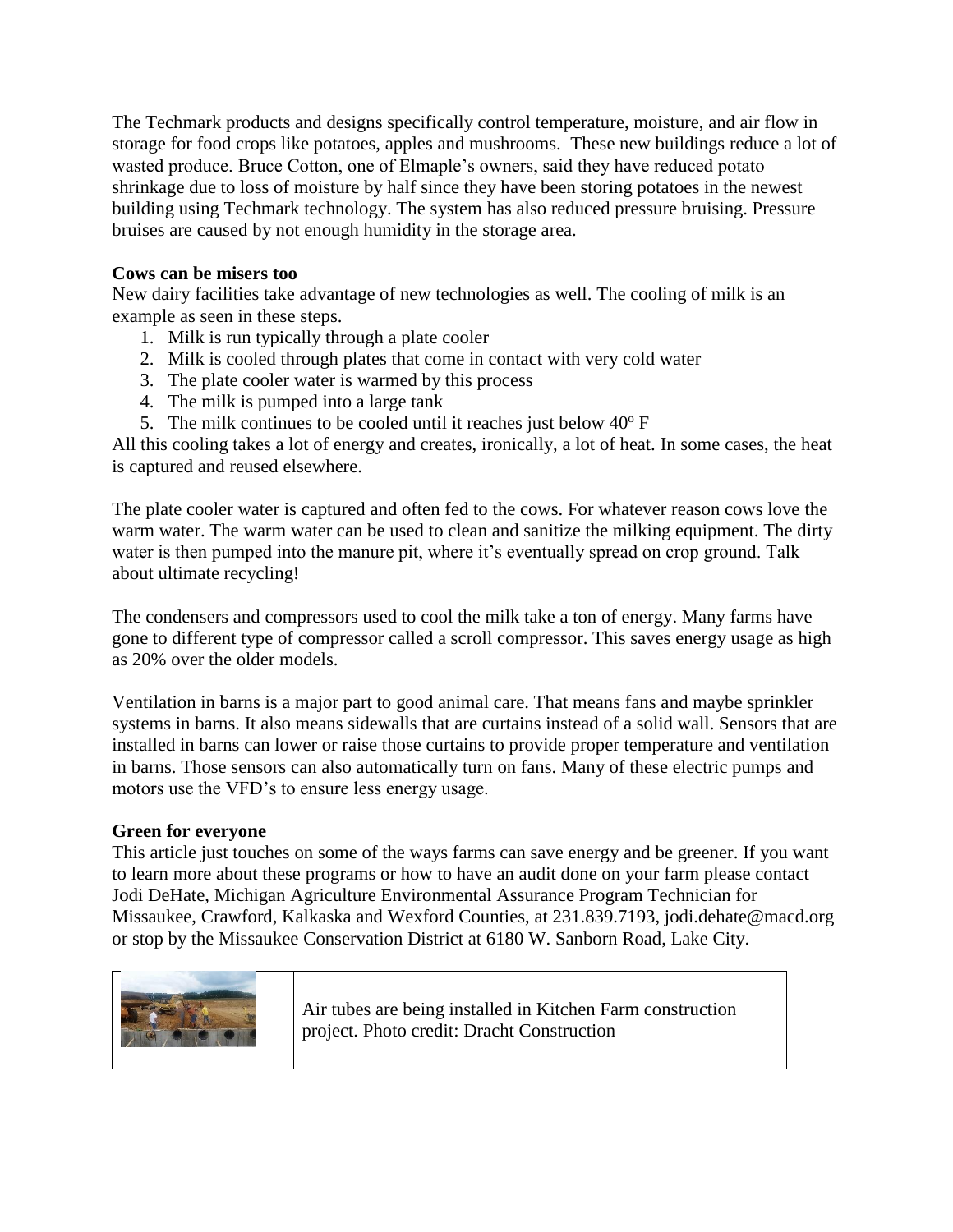The Techmark products and designs specifically control temperature, moisture, and air flow in storage for food crops like potatoes, apples and mushrooms. These new buildings reduce a lot of wasted produce. Bruce Cotton, one of Elmaple's owners, said they have reduced potato shrinkage due to loss of moisture by half since they have been storing potatoes in the newest building using Techmark technology. The system has also reduced pressure bruising. Pressure bruises are caused by not enough humidity in the storage area.

## **Cows can be misers too**

New dairy facilities take advantage of new technologies as well. The cooling of milk is an example as seen in these steps.

- 1. Milk is run typically through a plate cooler
- 2. Milk is cooled through plates that come in contact with very cold water
- 3. The plate cooler water is warmed by this process
- 4. The milk is pumped into a large tank
- 5. The milk continues to be cooled until it reaches just below  $40^{\circ}$  F

All this cooling takes a lot of energy and creates, ironically, a lot of heat. In some cases, the heat is captured and reused elsewhere.

The plate cooler water is captured and often fed to the cows. For whatever reason cows love the warm water. The warm water can be used to clean and sanitize the milking equipment. The dirty water is then pumped into the manure pit, where it's eventually spread on crop ground. Talk about ultimate recycling!

The condensers and compressors used to cool the milk take a ton of energy. Many farms have gone to different type of compressor called a scroll compressor. This saves energy usage as high as 20% over the older models.

Ventilation in barns is a major part to good animal care. That means fans and maybe sprinkler systems in barns. It also means sidewalls that are curtains instead of a solid wall. Sensors that are installed in barns can lower or raise those curtains to provide proper temperature and ventilation in barns. Those sensors can also automatically turn on fans. Many of these electric pumps and motors use the VFD's to ensure less energy usage.

## **Green for everyone**

This article just touches on some of the ways farms can save energy and be greener. If you want to learn more about these programs or how to have an audit done on your farm please contact Jodi DeHate, Michigan Agriculture Environmental Assurance Program Technician for Missaukee, Crawford, Kalkaska and Wexford Counties, at 231.839.7193, jodi.dehate@macd.org or stop by the Missaukee Conservation District at 6180 W. Sanborn Road, Lake City.



Air tubes are being installed in Kitchen Farm construction project. Photo credit: Dracht Construction